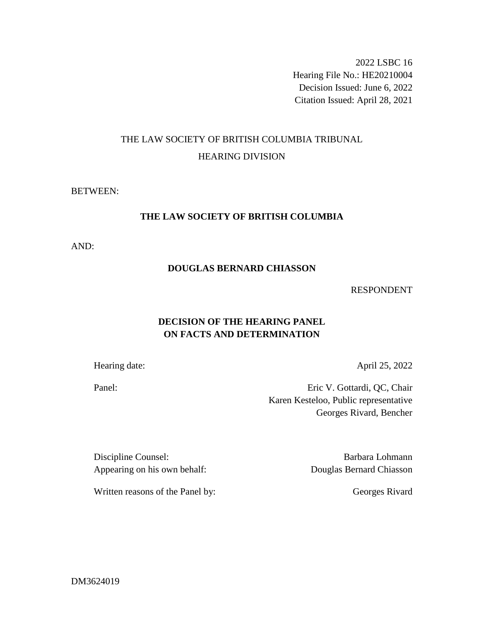2022 LSBC 16 Hearing File No.: HE20210004 Decision Issued: June 6, 2022 Citation Issued: April 28, 2021

# THE LAW SOCIETY OF BRITISH COLUMBIA TRIBUNAL HEARING DIVISION

### BETWEEN:

# **THE LAW SOCIETY OF BRITISH COLUMBIA**

AND:

### **DOUGLAS BERNARD CHIASSON**

#### RESPONDENT

# **DECISION OF THE HEARING PANEL ON FACTS AND DETERMINATION**

Hearing date: April 25, 2022

Panel: Eric V. Gottardi, QC, Chair Karen Kesteloo, Public representative Georges Rivard, Bencher

Discipline Counsel: Barbara Lohmann Appearing on his own behalf: Douglas Bernard Chiasson

Written reasons of the Panel by: Georges Rivard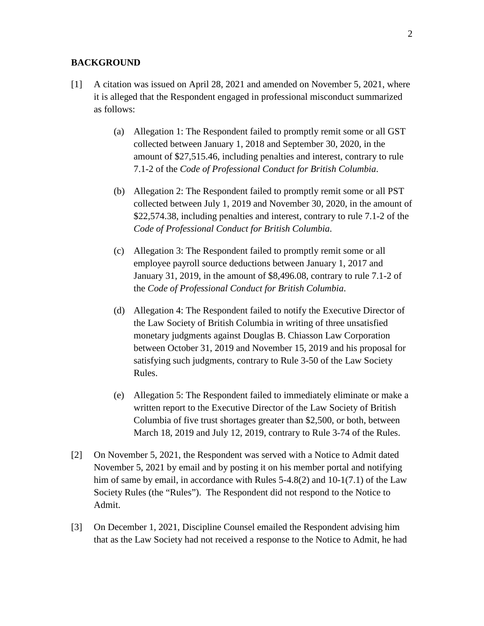#### **BACKGROUND**

- [1] A citation was issued on April 28, 2021 and amended on November 5, 2021, where it is alleged that the Respondent engaged in professional misconduct summarized as follows:
	- (a) Allegation 1: The Respondent failed to promptly remit some or all GST collected between January 1, 2018 and September 30, 2020, in the amount of \$27,515.46, including penalties and interest, contrary to rule 7.1-2 of the *Code of Professional Conduct for British Columbia*.
	- (b) Allegation 2: The Respondent failed to promptly remit some or all PST collected between July 1, 2019 and November 30, 2020, in the amount of \$22,574.38, including penalties and interest, contrary to rule 7.1-2 of the *Code of Professional Conduct for British Columbia*.
	- (c) Allegation 3: The Respondent failed to promptly remit some or all employee payroll source deductions between January 1, 2017 and January 31, 2019, in the amount of \$8,496.08, contrary to rule 7.1-2 of the *Code of Professional Conduct for British Columbia*.
	- (d) Allegation 4: The Respondent failed to notify the Executive Director of the Law Society of British Columbia in writing of three unsatisfied monetary judgments against Douglas B. Chiasson Law Corporation between October 31, 2019 and November 15, 2019 and his proposal for satisfying such judgments, contrary to Rule 3-50 of the Law Society Rules.
	- (e) Allegation 5: The Respondent failed to immediately eliminate or make a written report to the Executive Director of the Law Society of British Columbia of five trust shortages greater than \$2,500, or both, between March 18, 2019 and July 12, 2019, contrary to Rule 3-74 of the Rules.
- [2] On November 5, 2021, the Respondent was served with a Notice to Admit dated November 5, 2021 by email and by posting it on his member portal and notifying him of same by email, in accordance with Rules 5-4.8(2) and 10-1(7.1) of the Law Society Rules (the "Rules"). The Respondent did not respond to the Notice to Admit.
- [3] On December 1, 2021, Discipline Counsel emailed the Respondent advising him that as the Law Society had not received a response to the Notice to Admit, he had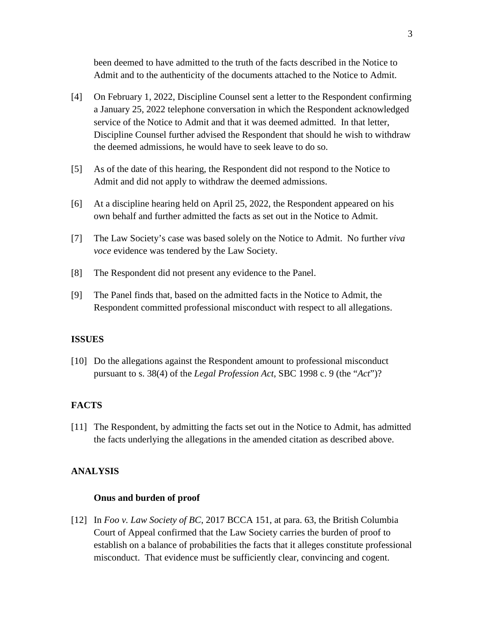been deemed to have admitted to the truth of the facts described in the Notice to Admit and to the authenticity of the documents attached to the Notice to Admit.

- [4] On February 1, 2022, Discipline Counsel sent a letter to the Respondent confirming a January 25, 2022 telephone conversation in which the Respondent acknowledged service of the Notice to Admit and that it was deemed admitted. In that letter, Discipline Counsel further advised the Respondent that should he wish to withdraw the deemed admissions, he would have to seek leave to do so.
- [5] As of the date of this hearing, the Respondent did not respond to the Notice to Admit and did not apply to withdraw the deemed admissions.
- [6] At a discipline hearing held on April 25, 2022, the Respondent appeared on his own behalf and further admitted the facts as set out in the Notice to Admit.
- [7] The Law Society's case was based solely on the Notice to Admit. No further *viva voce* evidence was tendered by the Law Society.
- [8] The Respondent did not present any evidence to the Panel.
- [9] The Panel finds that, based on the admitted facts in the Notice to Admit, the Respondent committed professional misconduct with respect to all allegations.

# **ISSUES**

[10] Do the allegations against the Respondent amount to professional misconduct pursuant to s. 38(4) of the *Legal Profession Act*, SBC 1998 c. 9 (the "*Act*")?

#### **FACTS**

[11] The Respondent, by admitting the facts set out in the Notice to Admit, has admitted the facts underlying the allegations in the amended citation as described above.

#### **ANALYSIS**

#### **Onus and burden of proof**

[12] In *Foo v. Law Society of BC*, 2017 BCCA 151, at para. 63, the British Columbia Court of Appeal confirmed that the Law Society carries the burden of proof to establish on a balance of probabilities the facts that it alleges constitute professional misconduct. That evidence must be sufficiently clear, convincing and cogent.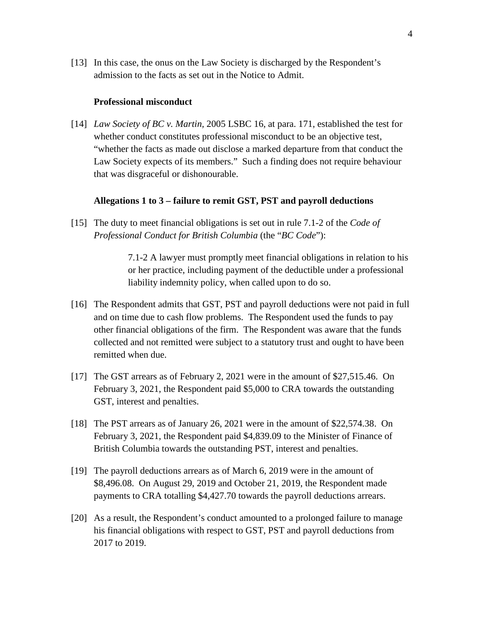[13] In this case, the onus on the Law Society is discharged by the Respondent's admission to the facts as set out in the Notice to Admit.

#### **Professional misconduct**

[14] *Law Society of BC v. Martin,* 2005 LSBC 16, at para. 171, established the test for whether conduct constitutes professional misconduct to be an objective test, "whether the facts as made out disclose a marked departure from that conduct the Law Society expects of its members." Such a finding does not require behaviour that was disgraceful or dishonourable.

#### **Allegations 1 to 3 – failure to remit GST, PST and payroll deductions**

[15] The duty to meet financial obligations is set out in rule 7.1-2 of the *Code of Professional Conduct for British Columbia* (the "*BC Code*"):

> 7.1-2 A lawyer must promptly meet financial obligations in relation to his or her practice, including payment of the deductible under a professional liability indemnity policy, when called upon to do so.

- [16] The Respondent admits that GST, PST and payroll deductions were not paid in full and on time due to cash flow problems. The Respondent used the funds to pay other financial obligations of the firm. The Respondent was aware that the funds collected and not remitted were subject to a statutory trust and ought to have been remitted when due.
- [17] The GST arrears as of February 2, 2021 were in the amount of \$27,515.46. On February 3, 2021, the Respondent paid \$5,000 to CRA towards the outstanding GST, interest and penalties.
- [18] The PST arrears as of January 26, 2021 were in the amount of \$22,574.38. On February 3, 2021, the Respondent paid \$4,839.09 to the Minister of Finance of British Columbia towards the outstanding PST, interest and penalties.
- [19] The payroll deductions arrears as of March 6, 2019 were in the amount of \$8,496.08. On August 29, 2019 and October 21, 2019, the Respondent made payments to CRA totalling \$4,427.70 towards the payroll deductions arrears.
- [20] As a result, the Respondent's conduct amounted to a prolonged failure to manage his financial obligations with respect to GST, PST and payroll deductions from 2017 to 2019.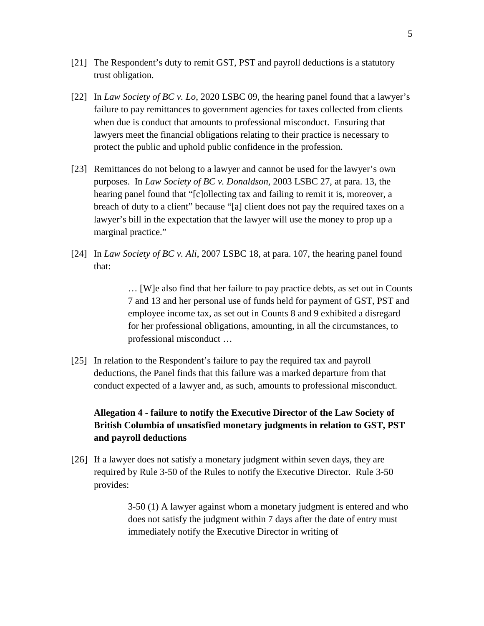- [21] The Respondent's duty to remit GST, PST and payroll deductions is a statutory trust obligation.
- [22] In *Law Society of BC v. Lo*, 2020 LSBC 09, the hearing panel found that a lawyer's failure to pay remittances to government agencies for taxes collected from clients when due is conduct that amounts to professional misconduct. Ensuring that lawyers meet the financial obligations relating to their practice is necessary to protect the public and uphold public confidence in the profession.
- [23] Remittances do not belong to a lawyer and cannot be used for the lawyer's own purposes. In *Law Society of BC v. Donaldson*, 2003 LSBC 27, at para. 13, the hearing panel found that "[c]ollecting tax and failing to remit it is, moreover, a breach of duty to a client" because "[a] client does not pay the required taxes on a lawyer's bill in the expectation that the lawyer will use the money to prop up a marginal practice."
- [24] In *Law Society of BC v. Ali*, 2007 LSBC 18, at para. 107, the hearing panel found that:

… [W]e also find that her failure to pay practice debts, as set out in Counts 7 and 13 and her personal use of funds held for payment of GST, PST and employee income tax, as set out in Counts 8 and 9 exhibited a disregard for her professional obligations, amounting, in all the circumstances, to professional misconduct …

[25] In relation to the Respondent's failure to pay the required tax and payroll deductions, the Panel finds that this failure was a marked departure from that conduct expected of a lawyer and, as such, amounts to professional misconduct.

# **Allegation 4 - failure to notify the Executive Director of the Law Society of British Columbia of unsatisfied monetary judgments in relation to GST, PST and payroll deductions**

[26] If a lawyer does not satisfy a monetary judgment within seven days, they are required by Rule 3-50 of the Rules to notify the Executive Director. Rule 3-50 provides:

> 3-50 (1) A lawyer against whom a monetary judgment is entered and who does not satisfy the judgment within 7 days after the date of entry must immediately notify the Executive Director in writing of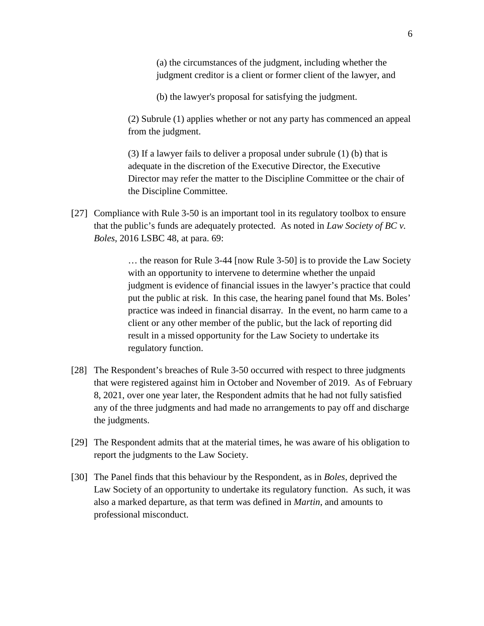(a) the circumstances of the judgment, including whether the judgment creditor is a client or former client of the lawyer, and

(b) the lawyer's proposal for satisfying the judgment.

(2) Subrule (1) applies whether or not any party has commenced an appeal from the judgment.

(3) If a lawyer fails to deliver a proposal under subrule (1) (b) that is adequate in the discretion of the Executive Director, the Executive Director may refer the matter to the Discipline Committee or the chair of the Discipline Committee.

[27] Compliance with Rule 3-50 is an important tool in its regulatory toolbox to ensure that the public's funds are adequately protected. As noted in *Law Society of BC v. Boles*, 2016 LSBC 48, at para. 69:

> … the reason for Rule 3-44 [now Rule 3-50] is to provide the Law Society with an opportunity to intervene to determine whether the unpaid judgment is evidence of financial issues in the lawyer's practice that could put the public at risk. In this case, the hearing panel found that Ms. Boles' practice was indeed in financial disarray. In the event, no harm came to a client or any other member of the public, but the lack of reporting did result in a missed opportunity for the Law Society to undertake its regulatory function.

- [28] The Respondent's breaches of Rule 3-50 occurred with respect to three judgments that were registered against him in October and November of 2019. As of February 8, 2021, over one year later, the Respondent admits that he had not fully satisfied any of the three judgments and had made no arrangements to pay off and discharge the judgments.
- [29] The Respondent admits that at the material times, he was aware of his obligation to report the judgments to the Law Society.
- [30] The Panel finds that this behaviour by the Respondent, as in *Boles*, deprived the Law Society of an opportunity to undertake its regulatory function. As such, it was also a marked departure, as that term was defined in *Martin*, and amounts to professional misconduct.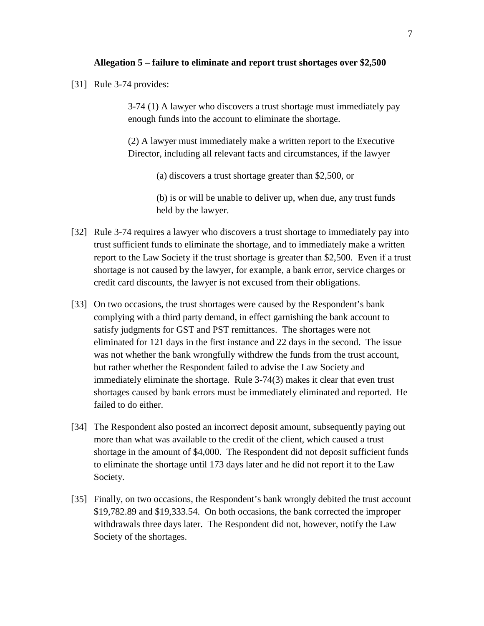#### **Allegation 5 – failure to eliminate and report trust shortages over \$2,500**

[31] Rule 3-74 provides:

3-74 (1) A lawyer who discovers a trust shortage must immediately pay enough funds into the account to eliminate the shortage.

(2) A lawyer must immediately make a written report to the Executive Director, including all relevant facts and circumstances, if the lawyer

(a) discovers a trust shortage greater than \$2,500, or

(b) is or will be unable to deliver up, when due, any trust funds held by the lawyer.

- [32] Rule 3-74 requires a lawyer who discovers a trust shortage to immediately pay into trust sufficient funds to eliminate the shortage, and to immediately make a written report to the Law Society if the trust shortage is greater than \$2,500. Even if a trust shortage is not caused by the lawyer, for example, a bank error, service charges or credit card discounts, the lawyer is not excused from their obligations.
- [33] On two occasions, the trust shortages were caused by the Respondent's bank complying with a third party demand, in effect garnishing the bank account to satisfy judgments for GST and PST remittances. The shortages were not eliminated for 121 days in the first instance and 22 days in the second. The issue was not whether the bank wrongfully withdrew the funds from the trust account, but rather whether the Respondent failed to advise the Law Society and immediately eliminate the shortage. Rule 3-74(3) makes it clear that even trust shortages caused by bank errors must be immediately eliminated and reported. He failed to do either.
- [34] The Respondent also posted an incorrect deposit amount, subsequently paying out more than what was available to the credit of the client, which caused a trust shortage in the amount of \$4,000. The Respondent did not deposit sufficient funds to eliminate the shortage until 173 days later and he did not report it to the Law Society.
- [35] Finally, on two occasions, the Respondent's bank wrongly debited the trust account \$19,782.89 and \$19,333.54. On both occasions, the bank corrected the improper withdrawals three days later. The Respondent did not, however, notify the Law Society of the shortages.